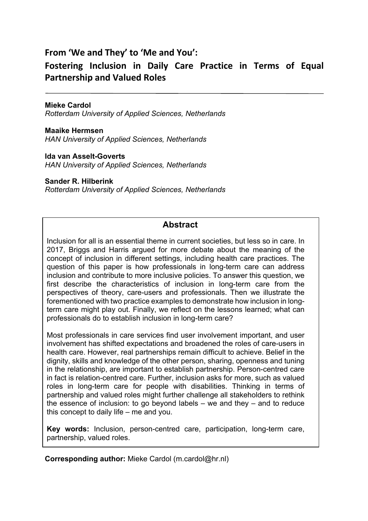# **From 'We and They' to 'Me and You':**

# **Fostering Inclusion in Daily Care Practice in Terms of Equal Partnership and Valued Roles**

**Mieke Cardol** *Rotterdam University of Applied Sciences, Netherlands*

**Maaike Hermsen** *HAN University of Applied Sciences, Netherlands*

**Ida van Asselt-Goverts** *HAN University of Applied Sciences, Netherlands*

**Sander R. Hilberink** *Rotterdam University of Applied Sciences, Netherlands*

## **Abstract**

Inclusion for all is an essential theme in current societies, but less so in care. In 2017, Briggs and Harris argued for more debate about the meaning of the concept of inclusion in different settings, including health care practices. The question of this paper is how professionals in long-term care can address inclusion and contribute to more inclusive policies. To answer this question, we first describe the characteristics of inclusion in long-term care from the perspectives of theory, care-users and professionals. Then we illustrate the forementioned with two practice examples to demonstrate how inclusion in longterm care might play out. Finally, we reflect on the lessons learned; what can professionals do to establish inclusion in long-term care?

Most professionals in care services find user involvement important, and user involvement has shifted expectations and broadened the roles of care-users in health care. However, real partnerships remain difficult to achieve. Belief in the dignity, skills and knowledge of the other person, sharing, openness and tuning in the relationship, are important to establish partnership. Person-centred care in fact is relation-centred care. Further, inclusion asks for more, such as valued roles in long-term care for people with disabilities. Thinking in terms of partnership and valued roles might further challenge all stakeholders to rethink the essence of inclusion: to go beyond labels  $-$  we and they  $-$  and to reduce this concept to daily life – me and you.

**Key words:** Inclusion, person-centred care, participation, long-term care, partnership, valued roles.

**Corresponding author:** Mieke Cardol (m.cardol@hr.nl)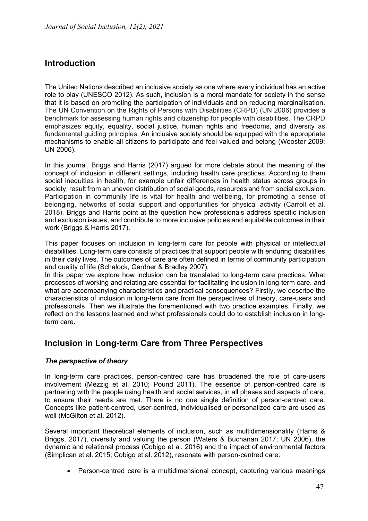## **Introduction**

The United Nations described an inclusive society as one where every individual has an active role to play (UNESCO 2012). As such, inclusion is a moral mandate for society in the sense that it is based on promoting the participation of individuals and on reducing marginalisation. The UN Convention on the Rights of Persons with Disabilities (CRPD) (UN 2006) provides a benchmark for assessing human rights and citizenship for people with disabilities. The CRPD emphasizes equity, equality, social justice, human rights and freedoms, and diversity as fundamental guiding principles. An inclusive society should be equipped with the appropriate mechanisms to enable all citizens to participate and feel valued and belong (Wooster 2009; UN 2006).

In this journal, Briggs and Harris (2017) argued for more debate about the meaning of the concept of inclusion in different settings, including health care practices. According to them social inequities in health, for example unfair differences in health status across groups in society, result from an uneven distribution of social goods, resources and from social exclusion. Participation in community life is vital for health and wellbeing, for promoting a sense of belonging, networks of social support and opportunities for physical activity (Carroll et al. 2018). Briggs and Harris point at the question how professionals address specific inclusion and exclusion issues, and contribute to more inclusive policies and equitable outcomes in their work (Briggs & Harris 2017).

This paper focuses on inclusion in long-term care for people with physical or intellectual disabilities. Long-term care consists of practices that support people with enduring disabilities in their daily lives. The outcomes of care are often defined in terms of community participation and quality of life (Schalock, Gardner & Bradley 2007).

In this paper we explore how inclusion can be translated to long-term care practices. What processes of working and relating are essential for facilitating inclusion in long-term care, and what are accompanying characteristics and practical consequences? Firstly, we describe the characteristics of inclusion in long-term care from the perspectives of theory, care-users and professionals. Then we illustrate the forementioned with two practice examples. Finally, we reflect on the lessons learned and what professionals could do to establish inclusion in longterm care.

## **Inclusion in Long-term Care from Three Perspectives**

### *The perspective of theory*

In long-term care practices, person-centred care has broadened the role of care-users involvement (Mezzig et al. 2010; Pound 2011). The essence of person-centred care is partnering with the people using health and social services, in all phases and aspects of care, to ensure their needs are met. There is no one single definition of person-centred care. Concepts like patient-centred, user-centred, individualised or personalized care are used as well (McGilton et al. 2012).

Several important theoretical elements of inclusion, such as multidimensionality (Harris & Briggs, 2017), diversity and valuing the person (Waters & Buchanan 2017; UN 2006), the dynamic and relational process (Cobigo et al. 2016) and the impact of environmental factors (Simplican et al. 2015; Cobigo et al. 2012), resonate with person-centred care:

• Person-centred care is a multidimensional concept, capturing various meanings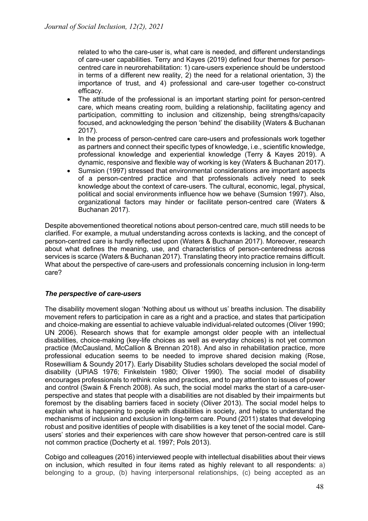related to who the care-user is, what care is needed, and different understandings of care-user capabilities. Terry and Kayes (2019) defined four themes for personcentred care in neurorehabilitation: 1) care-users experience should be understood in terms of a different new reality, 2) the need for a relational orientation, 3) the importance of trust, and 4) professional and care-user together co-construct efficacy.

- The attitude of the professional is an important starting point for person-centred care, which means creating room, building a relationship, facilitating agency and participation, committing to inclusion and citizenship, being strengths/capacity focused, and acknowledging the person 'behind' the disability (Waters & Buchanan 2017).
- In the process of person-centred care care-users and professionals work together as partners and connect their specific types of knowledge, i.e., scientific knowledge, professional knowledge and experiential knowledge (Terry & Kayes 2019). A dynamic, responsive and flexible way of working is key (Waters & Buchanan 2017).
- Sumsion (1997) stressed that environmental considerations are important aspects of a person-centred practice and that professionals actively need to seek knowledge about the context of care-users. The cultural, economic, legal, physical, political and social environments influence how we behave (Sumsion 1997). Also, organizational factors may hinder or facilitate person-centred care (Waters & Buchanan 2017).

Despite abovementioned theoretical notions about person-centred care, much still needs to be clarified. For example, a mutual understanding across contexts is lacking, and the concept of person-centred care is hardly reflected upon (Waters & Buchanan 2017). Moreover, research about what defines the meaning, use, and characteristics of person-centeredness across services is scarce (Waters & Buchanan 2017). Translating theory into practice remains difficult. What about the perspective of care-users and professionals concerning inclusion in long-term care?

### *The perspective of care-users*

The disability movement slogan 'Nothing about us without us' breaths inclusion. The disability movement refers to participation in care as a right and a practice, and states that participation and choice-making are essential to achieve valuable individual-related outcomes (Oliver 1990; UN 2006). Research shows that for example amongst older people with an intellectual disabilities, choice-making (key-life choices as well as everyday choices) is not yet common practice (McCausland, McCallion & Brennan 2018). And also in rehabilitation practice, more professional education seems to be needed to improve shared decision making (Rose, Rosewilliam & Soundy 2017). Early Disability Studies scholars developed the social model of disability (UPIAS 1976; Finkelstein 1980; Oliver 1990). The social model of disability encourages professionals to rethink roles and practices, and to pay attention to issues of power and control (Swain & French 2008). As such, the social model marks the start of a care-userperspective and states that people with a disabilities are not disabled by their impairments but foremost by the disabling barriers faced in society (Oliver 2013). The social model helps to explain what is happening to people with disabilities in society, and helps to understand the mechanisms of inclusion and exclusion in long-term care. Pound (2011) states that developing robust and positive identities of people with disabilities is a key tenet of the social model. Careusers' stories and their experiences with care show however that person-centred care is still not common practice (Docherty et al. 1997; Pols 2013).

Cobigo and colleagues (2016) interviewed people with intellectual disabilities about their views on inclusion, which resulted in four items rated as highly relevant to all respondents: a) belonging to a group, (b) having interpersonal relationships, (c) being accepted as an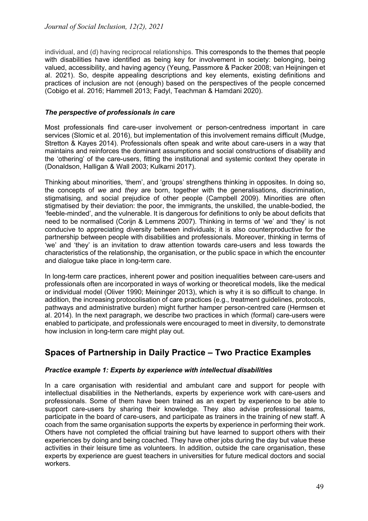individual, and (d) having reciprocal relationships. This corresponds to the themes that people with disabilities have identified as being key for involvement in society: belonging, being valued, accessibility, and having agency (Yeung, Passmore & Packer 2008; van Heijningen et al. 2021). So, despite appealing descriptions and key elements, existing definitions and practices of inclusion are not (enough) based on the perspectives of the people concerned (Cobigo et al. 2016; Hammell 2013; Fadyl, Teachman & Hamdani 2020).

#### *The perspective of professionals in care*

Most professionals find care-user involvement or person-centredness important in care services (Slomic et al. 2016), but implementation of this involvement remains difficult (Mudge, Stretton & Kayes 2014). Professionals often speak and write about care-users in a way that maintains and reinforces the dominant assumptions and social constructions of disability and the 'othering' of the care-users, fitting the institutional and systemic context they operate in (Donaldson, Halligan & Wall 2003; Kulkarni 2017).

Thinking about minorities, 'them', and 'groups' strengthens thinking in opposites. In doing so, the concepts of *we* and *they* are born, together with the generalisations, discrimination, stigmatising, and social prejudice of other people (Campbell 2009). Minorities are often stigmatised by their deviation: the poor, the immigrants, the unskilled, the unable-bodied, the 'feeble-minded', and the vulnerable. It is dangerous for definitions to only be about deficits that need to be normalised (Corijn & Lemmens 2007). Thinking in terms of 'we' and 'they' is not conducive to appreciating diversity between individuals; it is also counterproductive for the partnership between people with disabilities and professionals. Moreover, thinking in terms of 'we' and 'they' is an invitation to draw attention towards care-users and less towards the characteristics of the relationship, the organisation, or the public space in which the encounter and dialogue take place in long-term care.

In long-term care practices, inherent power and position inequalities between care-users and professionals often are incorporated in ways of working or theoretical models, like the medical or individual model (Oliver 1990; Meininger 2013), which is why it is so difficult to change. In addition, the increasing protocolisation of care practices (e.g., treatment guidelines, protocols, pathways and administrative burden) might further hamper person-centred care (Hermsen et al. 2014). In the next paragraph, we describe two practices in which (formal) care-users were enabled to participate, and professionals were encouraged to meet in diversity, to demonstrate how inclusion in long-term care might play out.

# **Spaces of Partnership in Daily Practice – Two Practice Examples**

### *Practice example 1: Experts by experience with intellectual disabilities*

In a care organisation with residential and ambulant care and support for people with intellectual disabilities in the Netherlands, experts by experience work with care-users and professionals. Some of them have been trained as an expert by experience to be able to support care-users by sharing their knowledge. They also advise professional teams, participate in the board of care-users, and participate as trainers in the training of new staff. A coach from the same organisation supports the experts by experience in performing their work. Others have not completed the official training but have learned to support others with their experiences by doing and being coached. They have other jobs during the day but value these activities in their leisure time as volunteers. In addition, outside the care organisation, these experts by experience are guest teachers in universities for future medical doctors and social workers.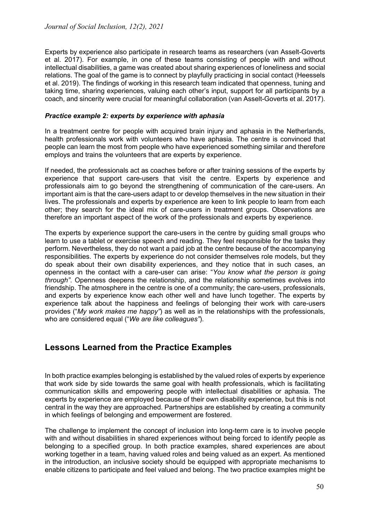*Journal of Social Inclusion, 12(2), 2021*

Experts by experience also participate in research teams as researchers (van Asselt-Goverts et al. 2017). For example, in one of these teams consisting of people with and without intellectual disabilities, a game was created about sharing experiences of loneliness and social relations. The goal of the game is to connect by playfully practicing in social contact (Heessels et al. 2019). The findings of working in this research team indicated that openness, tuning and taking time, sharing experiences, valuing each other's input, support for all participants by a coach, and sincerity were crucial for meaningful collaboration (van Asselt-Goverts et al. 2017).

#### *Practice example 2: experts by experience with aphasia*

In a treatment centre for people with acquired brain injury and aphasia in the Netherlands, health professionals work with volunteers who have aphasia. The centre is convinced that people can learn the most from people who have experienced something similar and therefore employs and trains the volunteers that are experts by experience.

If needed, the professionals act as coaches before or after training sessions of the experts by experience that support care-users that visit the centre. Experts by experience and professionals aim to go beyond the strengthening of communication of the care-users. An important aim is that the care-users adapt to or develop themselves in the new situation in their lives. The professionals and experts by experience are keen to link people to learn from each other; they search for the ideal mix of care-users in treatment groups. Observations are therefore an important aspect of the work of the professionals and experts by experience.

The experts by experience support the care-users in the centre by guiding small groups who learn to use a tablet or exercise speech and reading. They feel responsible for the tasks they perform. Nevertheless, they do not want a paid job at the centre because of the accompanying responsibilities. The experts by experience do not consider themselves role models, but they do speak about their own disability experiences, and they notice that in such cases, an openness in the contact with a care-user can arise: "*You know what the person is going through"*. Openness deepens the relationship, and the relationship sometimes evolves into friendship. The atmosphere in the centre is one of a community; the care-users, professionals, and experts by experience know each other well and have lunch together. The experts by experience talk about the happiness and feelings of belonging their work with care-users provides ("*My work makes me happy"*) as well as in the relationships with the professionals, who are considered equal ("*We are like colleagues"*).

## **Lessons Learned from the Practice Examples**

In both practice examples belonging is established by the valued roles of experts by experience that work side by side towards the same goal with health professionals, which is facilitating communication skills and empowering people with intellectual disabilities or aphasia. The experts by experience are employed because of their own disability experience, but this is not central in the way they are approached. Partnerships are established by creating a community in which feelings of belonging and empowerment are fostered.

The challenge to implement the concept of inclusion into long-term care is to involve people with and without disabilities in shared experiences without being forced to identify people as belonging to a specified group. In both practice examples, shared experiences are about working together in a team, having valued roles and being valued as an expert. As mentioned in the introduction, an inclusive society should be equipped with appropriate mechanisms to enable citizens to participate and feel valued and belong. The two practice examples might be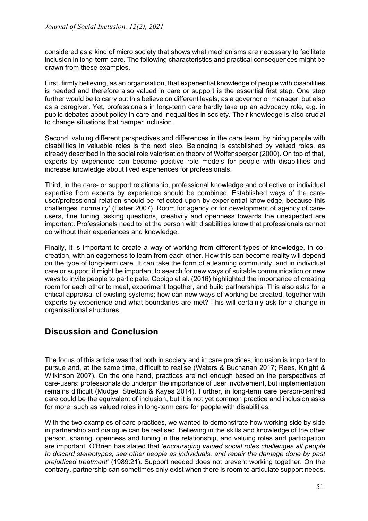considered as a kind of micro society that shows what mechanisms are necessary to facilitate inclusion in long-term care. The following characteristics and practical consequences might be drawn from these examples.

First, firmly believing, as an organisation, that experiential knowledge of people with disabilities is needed and therefore also valued in care or support is the essential first step. One step further would be to carry out this believe on different levels, as a governor or manager, but also as a caregiver. Yet, professionals in long-term care hardly take up an advocacy role, e.g. in public debates about policy in care and inequalities in society. Their knowledge is also crucial to change situations that hamper inclusion.

Second, valuing different perspectives and differences in the care team, by hiring people with disabilities in valuable roles is the next step. Belonging is established by valued roles, as already described in the social role valorisation theory of Wolfensberger (2000). On top of that, experts by experience can become positive role models for people with disabilities and increase knowledge about lived experiences for professionals.

Third, in the care- or support relationship, professional knowledge and collective or individual expertise from experts by experience should be combined. Established ways of the careuser/professional relation should be reflected upon by experiential knowledge, because this challenges 'normality' (Fisher 2007). Room for agency or for development of agency of careusers, fine tuning, asking questions, creativity and openness towards the unexpected are important. Professionals need to let the person with disabilities know that professionals cannot do without their experiences and knowledge.

Finally, it is important to create a way of working from different types of knowledge, in cocreation, with an eagerness to learn from each other. How this can become reality will depend on the type of long-term care. It can take the form of a learning community, and in individual care or support it might be important to search for new ways of suitable communication or new ways to invite people to participate. Cobigo et al. (2016) highlighted the importance of creating room for each other to meet, experiment together, and build partnerships. This also asks for a critical appraisal of existing systems; how can new ways of working be created, together with experts by experience and what boundaries are met? This will certainly ask for a change in organisational structures.

## **Discussion and Conclusion**

The focus of this article was that both in society and in care practices, inclusion is important to pursue and, at the same time, difficult to realise (Waters & Buchanan 2017; Rees, Knight & Wilkinson 2007). On the one hand, practices are not enough based on the perspectives of care-users: professionals do underpin the importance of user involvement, but implementation remains difficult (Mudge, Stretton & Kayes 2014). Further, in long-term care person-centred care could be the equivalent of inclusion, but it is not yet common practice and inclusion asks for more, such as valued roles in long-term care for people with disabilities.

With the two examples of care practices, we wanted to demonstrate how working side by side in partnership and dialogue can be realised. Believing in the skills and knowledge of the other person, sharing, openness and tuning in the relationship, and valuing roles and participation are important. O'Brien has stated that *'encouraging valued social roles challenges all people to discard stereotypes, see other people as individuals, and repair the damage done by past prejudiced treatment'* (1989:21). Support needed does not prevent working together. On the contrary, partnership can sometimes only exist when there is room to articulate support needs.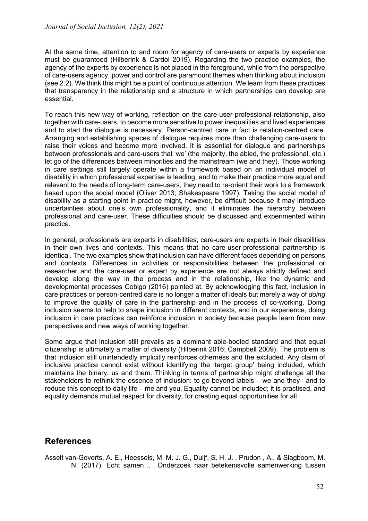At the same time, attention to and room for agency of care-users or experts by experience must be guaranteed (Hilberink & Cardol 2019). Regarding the two practice examples, the agency of the experts by experience is not placed in the foreground, while from the perspective of care-users agency, power and control are paramount themes when thinking about inclusion (see 2.2). We think this might be a point of continuous attention. We learn from these practices that transparency in the relationship and a structure in which partnerships can develop are essential.

To reach this new way of working, reflection on the care-user-professional relationship, also together with care-users, to become more sensitive to power inequalities and lived experiences and to start the dialogue is necessary. Person-centred care in fact is relation-centred care. Arranging and establishing spaces of dialogue requires more than challenging care-users to raise their voices and become more involved. It is essential for dialogue and partnerships between professionals and care-users that 'we' (the majority, the abled, the professional, etc.) let go of the differences between minorities and the mainstream (we and they). Those working in care settings still largely operate within a framework based on an individual model of disability in which professional expertise is leading, and to make their practice more equal and relevant to the needs of long-term care-users, they need to re-orient their work to a framework based upon the social model (Oliver 2013; Shakespeare 1997). Taking the social model of disability as a starting point in practice might, however, be difficult because it may introduce uncertainties about one's own professionality, and it eliminates the hierarchy between professional and care-user. These difficulties should be discussed and experimented within practice.

In general, professionals are experts in disabilities; care-users are experts in their disabilities in their own lives and contexts. This means that no care-user-professional partnership is identical. The two examples show that inclusion can have different faces depending on persons and contexts. Differences in activities or responsibilities between the professional or researcher and the care-user or expert by experience are not always strictly defined and develop along the way in the process and in the relationship, like the dynamic and developmental processes Cobigo (2016) pointed at. By acknowledging this fact, inclusion in care practices or person-centred care is no longer a matter of ideals but merely a way of *doing* to improve the quality of care in the partnership and in the process of co-working. Doing inclusion seems to help to shape inclusion in different contexts, and in our experience, doing inclusion in care practices can reinforce inclusion in society because people learn from new perspectives and new ways of working together.

Some arque that inclusion still prevails as a dominant able-bodied standard and that equal citizenship is ultimately a matter of diversity (Hilberink 2016; Campbell 2009). The problem is that inclusion still unintendedly implicitly reinforces otherness and the excluded. Any claim of inclusive practice cannot exist without identifying the 'target group' being included, which maintains the binary, us and them. Thinking in terms of partnership might challenge all the stakeholders to rethink the essence of inclusion: to go beyond labels – we and they– and to reduce this concept to daily life – me and you. Equality cannot be included; it is practised, and equality demands mutual respect for diversity, for creating equal opportunities for all.

## **References**

Asselt van-Goverts, A. E., Heessels, M. M. J. G., Duijf, S. H. J. , Prudon , A., & Slagboom, M. N. (2017). Echt samen… Onderzoek naar betekenisvolle samenwerking tussen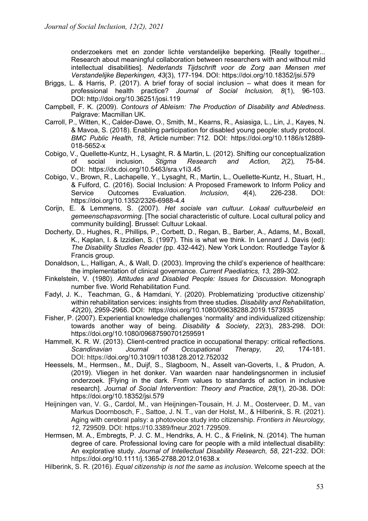onderzoekers met en zonder lichte verstandelijke beperking*.* [Really together... Research about meaningful collaboration between researchers with and without mild intellectual disabilities]. *Nederlands Tijdschrift voor de Zorg aan Mensen met Verstandelijke Beperkingen, 43*(3)*,* 177-194. DOI: https://doi.org/10.18352/jsi.579

- Briggs, L. & Harris, P. (2017). A brief foray of social inclusion what does it mean for professional health practice? *Journal of Social Inclusion, 8*(1), 96-103. DOI: http://doi.org/10.36251/josi.119
- Campbell, F. K. (2009). *Contours of Ableism: The Production of Disability and Abledness*. Palgrave: Macmillan UK.
- Carroll, P., Witten, K., Calder-Dawe, O., Smith, M., Kearns, R., Asiasiga, L., Lin, J., Kayes, N. & Mavoa, S. (2018). Enabling participation for disabled young people: study protocol. *BMC Public Health*, *18*, Article number: 712. DOI: https://doi.org/10.1186/s12889- 018-5652-x
- Cobigo, V., Quellette-Kuntz, H., Lysaght, R. & Martin, L. (2012). Shifting our conceptualization of social inclusion. *Stigma Research and Action, 2*(2)*,* 75-84. DOI: https://dx.doi.org/10.5463/sra.v1i3.45
- Cobigo, V., Brown, R., Lachapelle, Y., Lysaght, R., Martin, L., Ouellette-Kuntz, H., Stuart, H., & Fulford, C. (2016). Social Inclusion: A Proposed Framework to Inform Policy and Service Outcomes Evaluation. *Inclusion*, *4*(4), 226-238. DOI: https://doi*.*org/10.1352/2326-6988-4.4
- Corijn, E. & Lemmens, S. (2007). *Het sociale van cultuur. Lokaal cultuurbeleid en gemeenschapsvorming.* [The social characteristic of culture. Local cultural policy and community building]. Brussel: Cultuur Lokaal.
- Docherty, D., Hughes, R., Phillips, P., Corbett, D., Regan, B., Barber, A., Adams, M., Boxall, K., Kaplan, I. & Izzidien, S. (1997). This is what we think. In Lennard J. Davis (ed): *The Disability Studies Reader (*pp. 432-442). New York London: Routledge Taylor & Francis group.
- Donaldson, L., Halligan, A., & Wall, D. (2003). Improving the child's experience of healthcare: the implementation of clinical governance. *Current Paediatrics, 13,* 289-302.
- Finkelstein, V. (1980). *Attitudes and Disabled People: Issues for Discussion*. Monograph number five. World Rehabilitation Fund.
- Fadyl, J. K., Teachman, G., & Hamdani, Y. (2020). Problematizing 'productive citizenship' within rehabilitation services: insights from three studies. *Disability and Rehabilitation*, *42*(20), 2959-2966. DOI: https://doi.org/10.1080/09638288.2019.1573935
- Fisher, P. (2007). Experiential knowledge challenges 'normality' and individualized citizenship: towards another way of being. *Disability & Society*, *22*(3), 283-298. DOI: https://doi.org/10.1080/09687590701259591
- Hammell, K. R. W. (2013). Client-centred practice in occupational therapy: critical reflections. *Scandinavian Journal of Occupational Therapy, 20,* 174-181. DOI: https://doi.org/10.3109/11038128.2012.752032
- Heessels, M., Hermsen., M., Duijf, S., Slagboom, N., Asselt van-Goverts, I., & Prudon, A. (2019). Vliegen in het donker. Van waarden naar handelingsnormen in inclusief onderzoek. [Flying in the dark. From values to standards of action in inclusive research]. *Journal of Social Intervention: Theory and Practice*, *28*(1), 20-38**.** DOI: https://doi.org/10.18352/jsi.579
- Heijningen van, V. G., Cardol, M., van Heijningen-Tousain, H. J. M., Oosterveer, D. M., van Markus Doornbosch, F., Sattoe, J. N. T., van der Holst, M., & Hilberink, S. R. (2021). Aging with cerebral palsy: a photovoice study into citizenship. *Frontiers in Neurology, 12*, 729509. DOI: https://10.3389/fneur.2021.729509.
- Hermsen, M. A., Embregts, P. J. C. M., Hendriks, A. H. C., & Frielink, N. (2014). The human degree of care. Professional loving care for people with a mild intellectual disability: An explorative study. *Journal of Intellectual Disability Research, 58*, 221-232. DOI: https://doi.org/10.1111/j.1365-2788.2012.01638.x
- Hilberink, S. R. (2016). *Equal citizenship is not the same as inclusion*. Welcome speech at the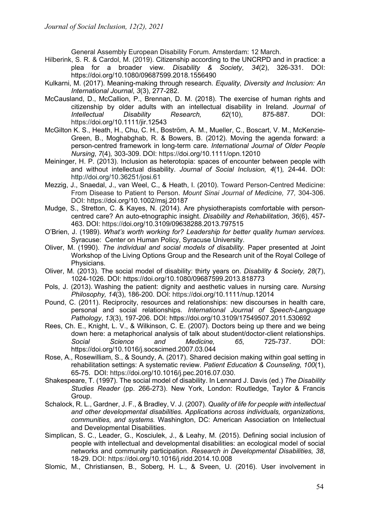General Assembly European Disability Forum. Amsterdam: 12 March.

- Hilberink, S. R. & Cardol, M. (2019). Citizenship according to the UNCRPD and in practice: a plea for a broader view. *Disability & Society*, *34*(2), 326-331. DOI: https://doi.org/10.1080/09687599.2018.1556490
- Kulkarni, M. (2017). Meaning-making through research. *Equality, Diversity and Inclusion: An International Journal*, *3*(3), 277-282.
- McCausland, D., McCallion, P., Brennan, D. M. (2018). The exercise of human rights and citizenship by older adults with an intellectual disability in Ireland. *Journal of Intellectual Disability Research, 62*(10), 875-887. DOI: https://doi.org/10.1111/jir.12543
- McGilton K. S., Heath, H., Chu, C. H., Boström, A. M., Mueller, C., Boscart, V. M., McKenzie-Green, B., Moghabghab, R. & Bowers, B. (2012). Moving the agenda forward: a person-centred framework in long-term care. *International Journal of Older People Nursing*, *7*(4)*,* 303-309. DOI: https://doi.org/10.1111/opn.12010
- Meininger, H. P. (2013). Inclusion as heterotopia: spaces of encounter between people with and without intellectual disability. *Journal of Social Inclusion, 4*(1)*,* 24-44. DOI: http://doi.org/10.36251/josi.61
- Mezzig, J., Snaedal, J., van Weel, C., & Heath, I. (2010). Toward Person-Centred Medicine: From Disease to Patient to Person. *Mount Sinai Journal of Medicine, 77,* 304-306. DOI: https://doi.org/10.1002/msj.20187
- Mudge, S., Stretton, C. & Kayes, N. (2014). Are physiotherapists comfortable with personcentred care? An auto-etnographic insight. *Disability and Rehabilitation*, *36*(6), 457- 463. DOI: https://doi.org/10.3109/09638288.2013.797515
- O'Brien, J. (1989). *What's worth working for? Leadership for better quality human services.* Syracuse: Center on Human Policy, Syracuse University.
- Oliver, M. (1990). *The individual and social models of disability.* Paper presented at Joint Workshop of the Living Options Group and the Research unit of the Royal College of Physicians.
- Oliver, M. (2013). The social model of disability: thirty years on. *Disability & Society, 28*(7), 1024-1026. DOI: https://doi.org/10.1080/09687599.2013.818773
- Pols, J. (2013). Washing the patient: dignity and aesthetic values in nursing care*. Nursing Philosophy, 14*(3), 186-200. DOI: https://doi.org/10.1111/nup.12014
- Pound, C. (2011). Reciprocity, resources and relationships: new discourses in health care, personal and social relationships. *International Journal of Speech-Language Pathology*, *13*(3), 197-206. DOI: https://doi.org/10.3109/17549507.2011.530692
- Rees, Ch. E., Knight, L. V., & Wilkinson, C. E. (2007). Doctors being up there and we being down here: a metaphorical analysis of talk about student/doctor-client relationships. *Social Science and Medicine, 65*, 725-737. DOI: https://doi.org/10.1016/j.socscimed.2007.03.044
- Rose, A., Rosewilliam, S., & Soundy, A. (2017). Shared decision making within goal setting in rehabilitation settings: A systematic review. *Patient Education & Counseling*, *100*(1), 65-75. DOI: https://doi.org/10.1016/j.pec.2016.07.030.
- Shakespeare, T. (1997). The social model of disability. In Lennard J. Davis (ed.) *The Disability Studies Reader* (pp. 266-273). New York, London: Routledge, Taylor & Francis Group.
- Schalock, R. L., Gardner, J. F., & Bradley, V. J. (2007). *Quality of life for people with intellectual and other developmental disabilities. Applications across individuals, organizations, communities, and systems.* Washington, DC: American Association on Intellectual and Developmental Disabilities.
- Simplican, S. C., Leader, G., Kosciulek, J., & Leahy, M. (2015). Defining social inclusion of people with intellectual and developmental disabilities: an ecological model of social networks and community participation. *Research in Developmental Disabilities, 38*, 18-29. DOI: https://doi.org/10.1016/j.ridd.2014.10.008
- Slomic, M., Christiansen, B., Soberg, H. L., & Sveen, U. (2016). User involvement in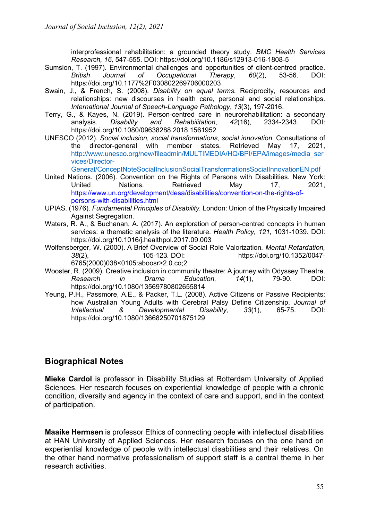interprofessional rehabilitation: a grounded theory study. *BMC Health Services Research, 16,* 547-555. DOI: https://doi.org/10.1186/s12913-016-1808-5

- Sumsion, T. (1997). Environmental challenges and opportunities of client-centred practice. *British Journal of Occupational Therapy*, *60*(2), 53-56. DOI: https://doi.org/10.1177%2F030802269706000203
- Swain, J., & French, S. (2008). *Disability on equal terms.* Reciprocity, resources and relationships: new discourses in health care, personal and social relationships. *International Journal of Speech-Language Pathology*, *13*(3), 197-2016.
- Terry, G., & Kayes, N. (2019). Person-centred care in neurorehabilitation: a secondary analysis. *Disability and Rehabilitation*, *42*(16), 2334-2343. DOI: https://doi.org/10.1080/09638288.2018.1561952
- UNESCO (2012). *Social inclusion, social transformations, social innovation.* Consultations of the director-general with member states. Retrieved May 17, 2021, http://www.unesco.org/new/fileadmin/MULTIMEDIA/HQ/BPI/EPA/images/media\_ser vices/Director-

General/ConceptNoteSocialInclusionSocialTransformationsSocialInnovationEN.pdf

- United Nations. (2006). Convention on the Rights of Persons with Disabilities. New York: United Nations. Retrieved May 17, 2021, https://www.un.org/development/desa/disabilities/convention-on-the-rights-ofpersons-with-disabilities.html
- UPIAS. (1976). *Fundamental Principles of Disability.* London: Union of the Physically Impaired Against Segregation.
- Waters, R. A., & Buchanan, A. (2017). An exploration of person-centred concepts in human services: a thematic analysis of the literature. *Health Policy, 121,* 1031-1039. DOI: https://doi.org/10.1016/j.healthpol.2017.09.003
- Wolfensberger, W. (2000). A Brief Overview of Social Role Valorization*. Mental Retardation, 38*(2), 105-123*.* DOI: https://doi.org/10.1352/0047- 6765(2000)038<0105:aboosr>2.0.co;2
- Wooster, R. (2009). Creative inclusion in community theatre: A journey with Odyssey Theatre. *Research in Drama Education, 14*(1), 79-90. DOI: https://doi.org/10.1080/13569780802655814
- Yeung, P.H., Passmore, A.E., & Packer, T.L. (2008). Active Citizens or Passive Recipients: how Australian Young Adults with Cerebral Palsy Define Citizenship. *Journal of Intellectual & Developmental Disability, 33*(1), 65-75. DOI: https://doi.org/10.1080/13668250701875129

## **Biographical Notes**

**Mieke Cardol** is professor in Disability Studies at Rotterdam University of Applied Sciences. Her research focuses on experiential knowledge of people with a chronic condition, diversity and agency in the context of care and support, and in the context of participation.

**Maaike Hermsen** is professor Ethics of connecting people with intellectual disabilities at HAN University of Applied Sciences. Her research focuses on the one hand on experiential knowledge of people with intellectual disabilities and their relatives. On the other hand normative professionalism of support staff is a central theme in her research activities.